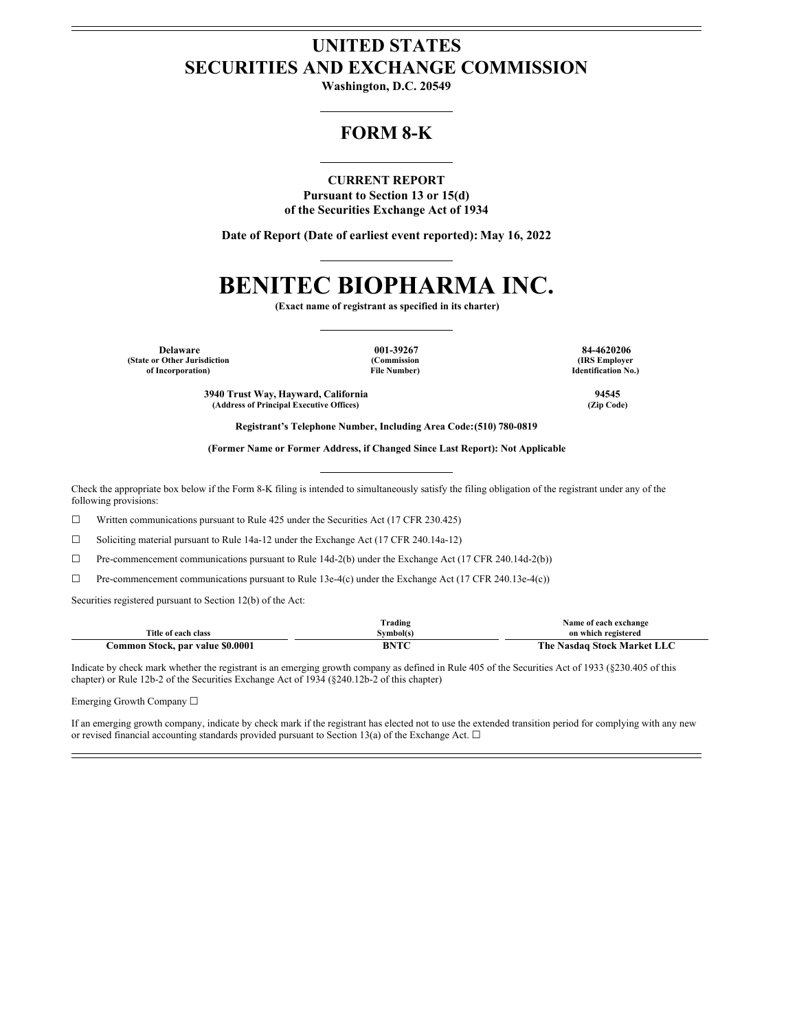## **UNITED STATES SECURITIES AND EXCHANGE COMMISSION**

**Washington, D.C. 20549**

## **FORM 8-K**

**CURRENT REPORT**

**Pursuant to Section 13 or 15(d) of the Securities Exchange Act of 1934**

**Date of Report (Date of earliest event reported): May 16, 2022**

# **BENITEC BIOPHARMA INC.**

**(Exact name of registrant as specified in its charter)**

**Delaware 001-39267 84-4620206 (State or Other Jurisdiction of Incorporation)**

**(Commission File Number)**

**(IRS Employer Identification No.)**

**3940 Trust Way, Hayward, California 94545**  $(A$ ddress of **Principal Executive** Offices)

**Registrant's Telephone Number, Including Area Code:(510) 780-0819**

**(Former Name or Former Address, if Changed Since Last Report): Not Applicable**

Check the appropriate box below if the Form 8-K filing is intended to simultaneously satisfy the filing obligation of the registrant under any of the following provisions:

☐ Written communications pursuant to Rule 425 under the Securities Act (17 CFR 230.425)

 $\Box$  Soliciting material pursuant to Rule 14a-12 under the Exchange Act (17 CFR 240.14a-12)

☐ Pre-commencement communications pursuant to Rule 14d-2(b) under the Exchange Act (17 CFR 240.14d-2(b))

 $\Box$  Pre-commencement communications pursuant to Rule 13e-4(c) under the Exchange Act (17 CFR 240.13e-4(c))

Securities registered pursuant to Section 12(b) of the Act:

|                                  | . .<br><i>i</i> rading | Name of each exchange              |  |  |  |
|----------------------------------|------------------------|------------------------------------|--|--|--|
| Title of each class              | švmbol(s               | on which registered                |  |  |  |
| Common Stock, par value \$0.0001 | <b>DNTC</b>            | <b>The Nasdaq Stock Market LLC</b> |  |  |  |

Indicate by check mark whether the registrant is an emerging growth company as defined in Rule 405 of the Securities Act of 1933 (§230.405 of this chapter) or Rule 12b-2 of the Securities Exchange Act of 1934 (§240.12b-2 of this chapter)

Emerging Growth Company ☐

If an emerging growth company, indicate by check mark if the registrant has elected not to use the extended transition period for complying with any new or revised financial accounting standards provided pursuant to Section 13(a) of the Exchange Act.  $\Box$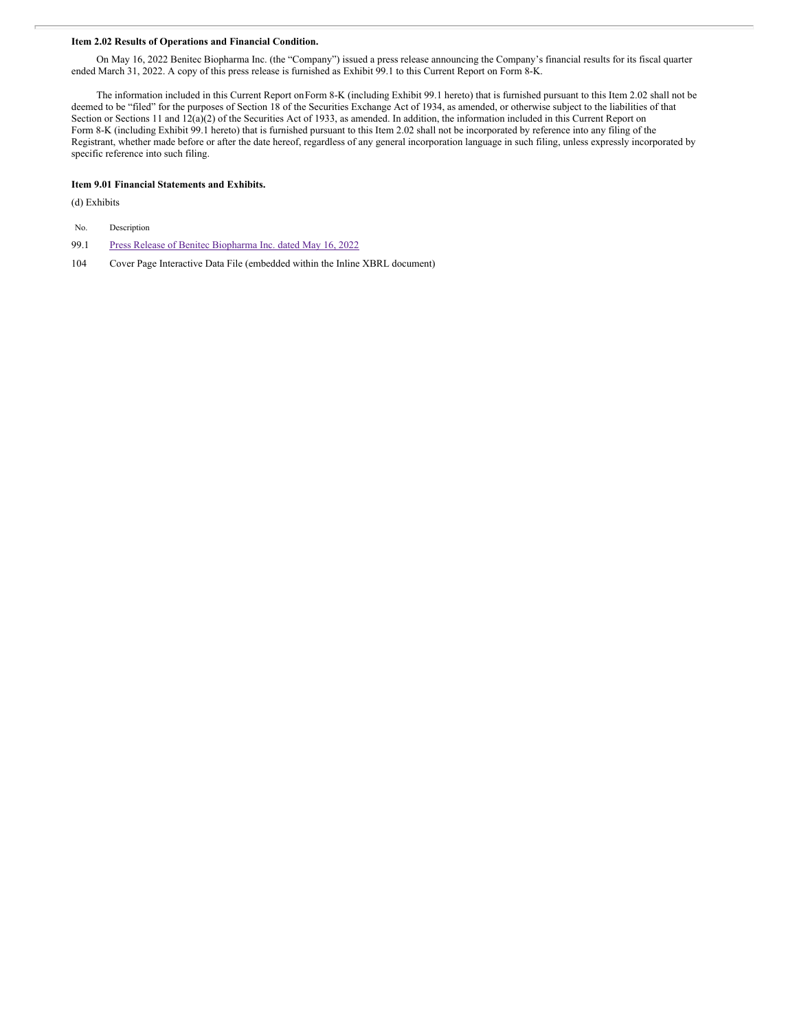#### **Item 2.02 Results of Operations and Financial Condition.**

On May 16, 2022 Benitec Biopharma Inc. (the "Company") issued a press release announcing the Company's financial results for its fiscal quarter ended March 31, 2022. A copy of this press release is furnished as Exhibit 99.1 to this Current Report on Form 8-K.

The information included in this Current Report onForm 8-K (including Exhibit 99.1 hereto) that is furnished pursuant to this Item 2.02 shall not be deemed to be "filed" for the purposes of Section 18 of the Securities Exchange Act of 1934, as amended, or otherwise subject to the liabilities of that Section or Sections 11 and 12(a)(2) of the Securities Act of 1933, as amended. In addition, the information included in this Current Report on Form 8-K (including Exhibit 99.1 hereto) that is furnished pursuant to this Item 2.02 shall not be incorporated by reference into any filing of the Registrant, whether made before or after the date hereof, regardless of any general incorporation language in such filing, unless expressly incorporated by specific reference into such filing.

#### **Item 9.01 Financial Statements and Exhibits.**

(d) Exhibits

| No. | Description |
|-----|-------------|
|-----|-------------|

99.1 Press Release of Benitec [Biopharma](#page-5-0) Inc. dated May 16, 2022

104 Cover Page Interactive Data File (embedded within the Inline XBRL document)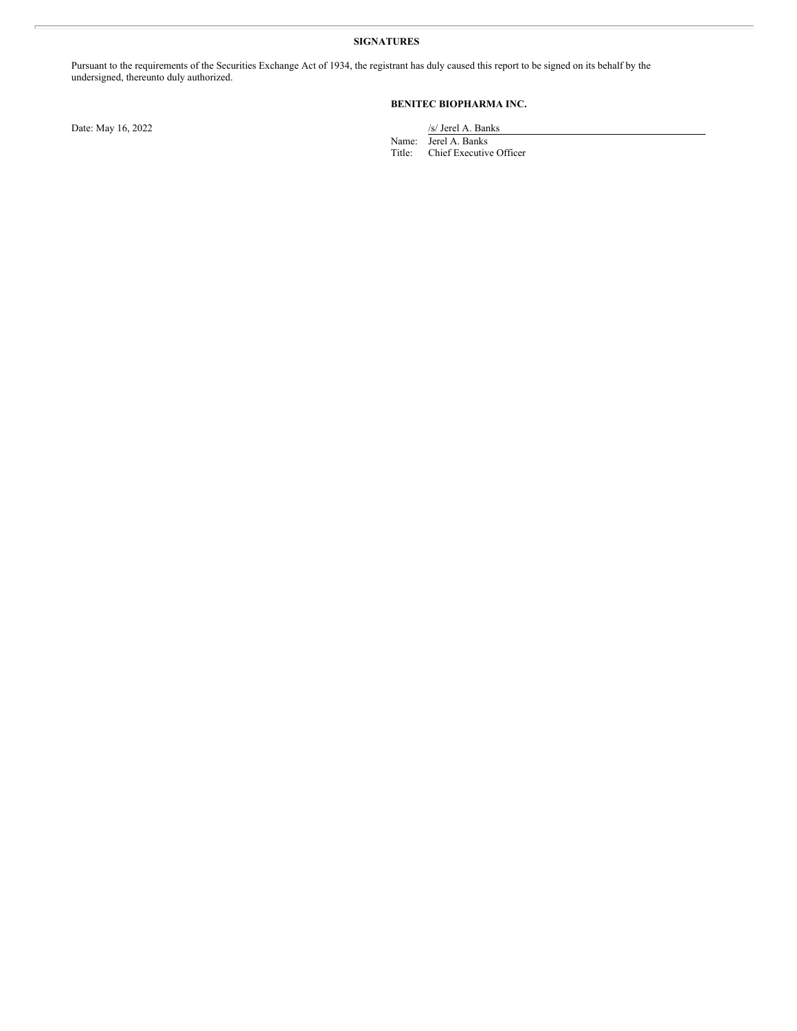#### **SIGNATURES**

Pursuant to the requirements of the Securities Exchange Act of 1934, the registrant has duly caused this report to be signed on its behalf by the undersigned, thereunto duly authorized.

### **BENITEC BIOPHARMA INC.**

Date: May 16, 2022 /s/ Jerel A. Banks

Name: Jerel A. Banks

Title: Chief Executive Officer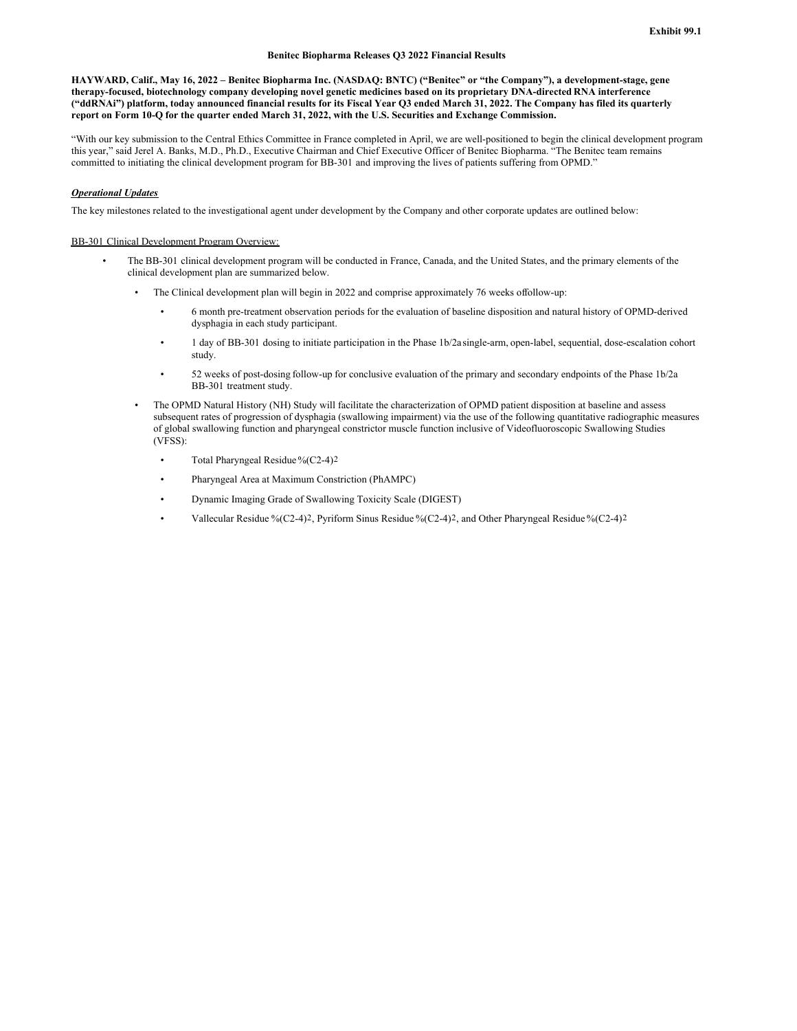#### **Benitec Biopharma Releases Q3 2022 Financial Results**

HAYWARD, Calif., May 16, 2022 - Benitec Biopharma Inc. (NASDAQ: BNTC) ("Benitec" or "the Company"), a development-stage, gene therapy-focused, biotechnology company developing novel genetic medicines based on its proprietary DNA-directed RNA interference ("ddRNAi") platform, today announced financial results for its Fiscal Year Q3 ended March 31, 2022. The Company has filed its quarterly report on Form 10-Q for the quarter ended March 31, 2022, with the U.S. Securities and Exchange Commission.

"With our key submission to the Central Ethics Committee in France completed in April, we are well-positioned to begin the clinical development program this year," said Jerel A. Banks, M.D., Ph.D., Executive Chairman and Chief Executive Officer of Benitec Biopharma. "The Benitec team remains committed to initiating the clinical development program for BB-301 and improving the lives of patients suffering from OPMD."

#### *Operational Updates*

The key milestones related to the investigational agent under development by the Company and other corporate updates are outlined below:

#### BB-301 Clinical Development Program Overview:

- The BB-301 clinical development program will be conducted in France, Canada, and the United States, and the primary elements of the clinical development plan are summarized below.
	- The Clinical development plan will begin in 2022 and comprise approximately 76 weeks offollow-up:
		- 6 month pre-treatment observation periods for the evaluation of baseline disposition and natural history of OPMD-derived dysphagia in each study participant.
		- 1 day of BB-301 dosing to initiate participation in the Phase 1b/2asingle-arm, open-label, sequential, dose-escalation cohort study.
		- 52 weeks of post-dosing follow-up for conclusive evaluation of the primary and secondary endpoints of the Phase 1b/2a BB-301 treatment study.
	- The OPMD Natural History (NH) Study will facilitate the characterization of OPMD patient disposition at baseline and assess subsequent rates of progression of dysphagia (swallowing impairment) via the use of the following quantitative radiographic measures of global swallowing function and pharyngeal constrictor muscle function inclusive of Videofluoroscopic Swallowing Studies (VFSS):
		- Total Pharyngeal Residue  $\frac{6}{C}$  (C2-4)<sup>2</sup>
		- Pharyngeal Area at Maximum Constriction (PhAMPC)
		- Dynamic Imaging Grade of Swallowing Toxicity Scale (DIGEST)
		- Vallecular Residue %(C2-4)2, Pyriform Sinus Residue %(C2-4)2, and Other Pharyngeal Residue %(C2-4)2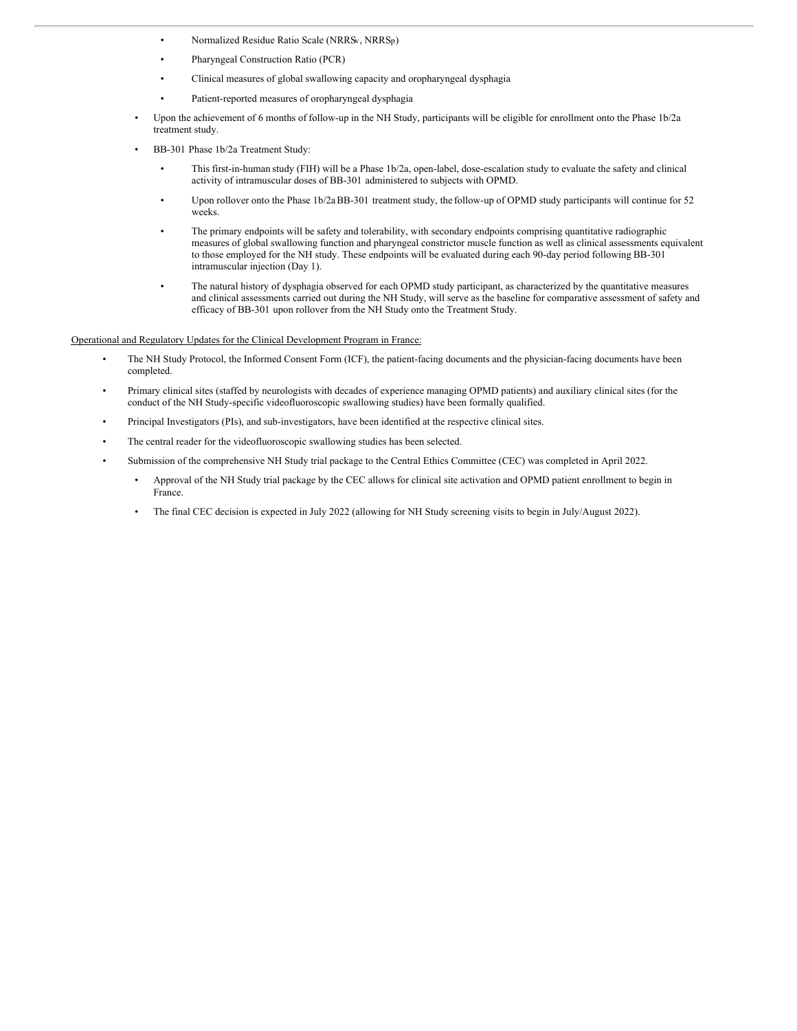- Normalized Residue Ratio Scale (NRRSv, NRRSp)
- Pharyngeal Construction Ratio (PCR)
- Clinical measures of global swallowing capacity and oropharyngeal dysphagia
- Patient-reported measures of oropharyngeal dysphagia
- Upon the achievement of 6 months of follow-up in the NH Study, participants will be eligible for enrollment onto the Phase 1b/2a treatment study.
- BB-301 Phase 1b/2a Treatment Study:
	- This first-in-human study (FIH) will be a Phase 1b/2a, open-label, dose-escalation study to evaluate the safety and clinical activity of intramuscular doses of BB-301 administered to subjects with OPMD.
	- Upon rollover onto the Phase 1b/2aBB-301 treatment study, the follow-up of OPMD study participants will continue for 52 weeks.
	- The primary endpoints will be safety and tolerability, with secondary endpoints comprising quantitative radiographic measures of global swallowing function and pharyngeal constrictor muscle function as well as clinical assessments equivalent to those employed for the NH study. These endpoints will be evaluated during each 90-day period following BB-301 intramuscular injection (Day 1).
	- The natural history of dysphagia observed for each OPMD study participant, as characterized by the quantitative measures and clinical assessments carried out during the NH Study, will serve as the baseline for comparative assessment of safety and efficacy of BB-301 upon rollover from the NH Study onto the Treatment Study.

#### Operational and Regulatory Updates for the Clinical Development Program in France:

- The NH Study Protocol, the Informed Consent Form (ICF), the patient-facing documents and the physician-facing documents have been completed.
- Primary clinical sites (staffed by neurologists with decades of experience managing OPMD patients) and auxiliary clinical sites (for the conduct of the NH Study-specific videofluoroscopic swallowing studies) have been formally qualified.
- Principal Investigators (PIs), and sub-investigators, have been identified at the respective clinical sites.
- The central reader for the videofluoroscopic swallowing studies has been selected.
- Submission of the comprehensive NH Study trial package to the Central Ethics Committee (CEC) was completed in April 2022.
	- Approval of the NH Study trial package by the CEC allows for clinical site activation and OPMD patient enrollment to begin in France.
	- The final CEC decision is expected in July 2022 (allowing for NH Study screening visits to begin in July/August 2022).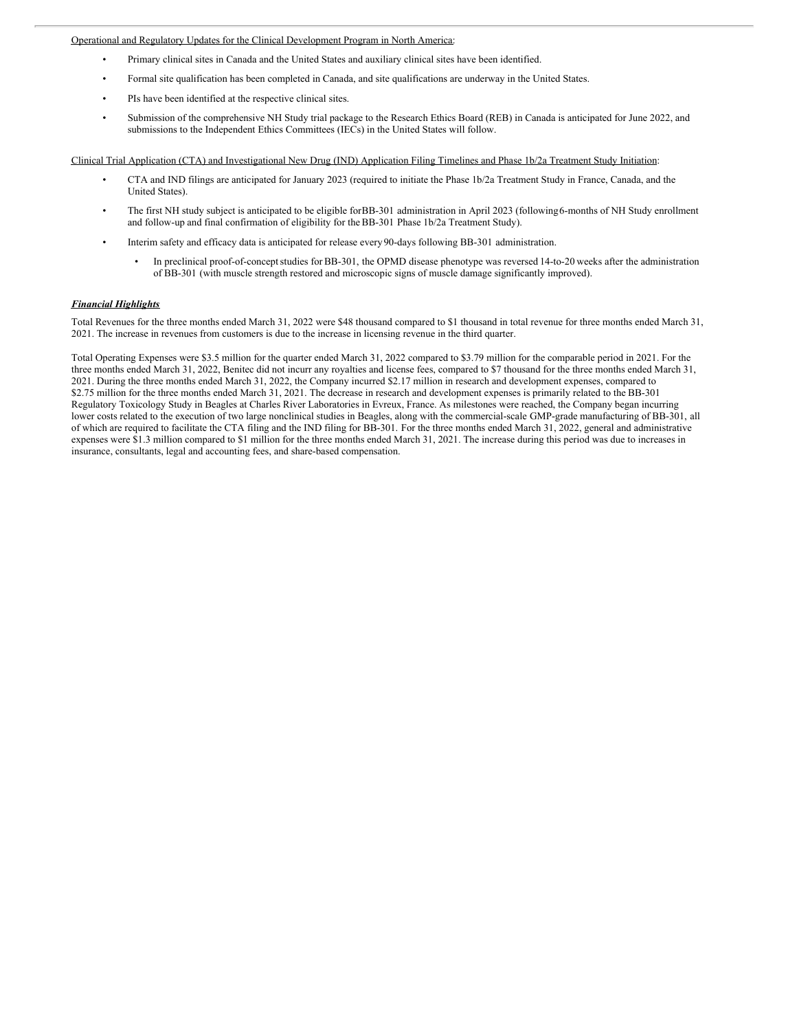#### <span id="page-5-0"></span>Operational and Regulatory Updates for the Clinical Development Program in North America:

- Primary clinical sites in Canada and the United States and auxiliary clinical sites have been identified.
- Formal site qualification has been completed in Canada, and site qualifications are underway in the United States.
- PIs have been identified at the respective clinical sites.
- Submission of the comprehensive NH Study trial package to the Research Ethics Board (REB) in Canada is anticipated for June 2022, and submissions to the Independent Ethics Committees (IECs) in the United States will follow.

#### Clinical Trial Application (CTA) and Investigational New Drug (IND) Application Filing Timelines and Phase 1b/2a Treatment Study Initiation:

- CTA and IND filings are anticipated for January 2023 (required to initiate the Phase 1b/2a Treatment Study in France, Canada, and the United States).
- The first NH study subject is anticipated to be eligible forBB-301 administration in April 2023 (following6-months of NH Study enrollment and follow-up and final confirmation of eligibility for the BB-301 Phase 1b/2a Treatment Study).
- Interim safety and efficacy data is anticipated for release every90-days following BB-301 administration.
	- In preclinical proof-of-conceptstudies for BB-301, the OPMD disease phenotype was reversed 14-to-20 weeks after the administration of BB-301 (with muscle strength restored and microscopic signs of muscle damage significantly improved).

#### *Financial Highlights*

Total Revenues for the three months ended March 31, 2022 were \$48 thousand compared to \$1 thousand in total revenue for three months ended March 31, 2021. The increase in revenues from customers is due to the increase in licensing revenue in the third quarter.

Total Operating Expenses were \$3.5 million for the quarter ended March 31, 2022 compared to \$3.79 million for the comparable period in 2021. For the three months ended March 31, 2022, Benitec did not incurr any royalties and license fees, compared to \$7 thousand for the three months ended March 31, 2021. During the three months ended March 31, 2022, the Company incurred \$2.17 million in research and development expenses, compared to \$2.75 million for the three months ended March 31, 2021. The decrease in research and development expenses is primarily related to the BB-301 Regulatory Toxicology Study in Beagles at Charles River Laboratories in Evreux, France. As milestones were reached, the Company began incurring lower costs related to the execution of two large nonclinical studies in Beagles, along with the commercial-scale GMP-grade manufacturing of BB-301, all of which are required to facilitate the CTA filing and the IND filing for BB-301. For the three months ended March 31, 2022, general and administrative expenses were \$1.3 million compared to \$1 million for the three months ended March 31, 2021. The increase during this period was due to increases in insurance, consultants, legal and accounting fees, and share-based compensation.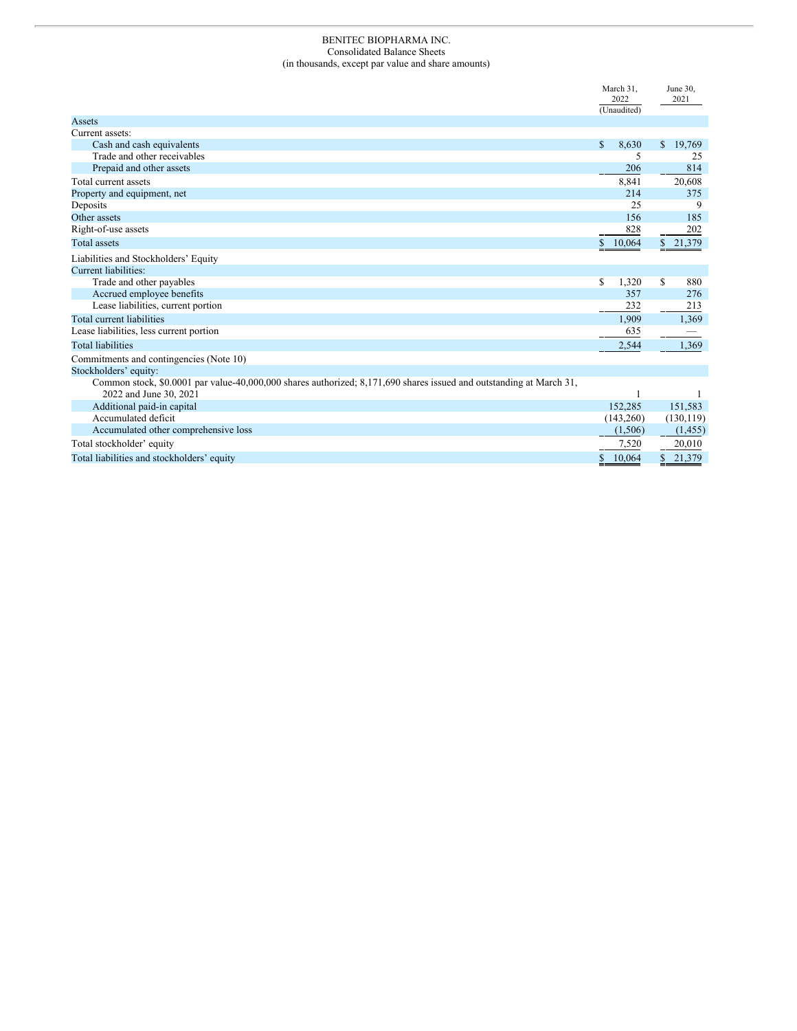#### BENITEC BIOPHARMA INC. Consolidated Balance Sheets (in thousands, except par value and share amounts)

|                                                                                                                                               | March 31,<br>2022<br>(Unaudited) | June 30,<br>2021 |
|-----------------------------------------------------------------------------------------------------------------------------------------------|----------------------------------|------------------|
| Assets                                                                                                                                        |                                  |                  |
| Current assets:                                                                                                                               |                                  |                  |
| Cash and cash equivalents                                                                                                                     | \$<br>8,630                      | 19,769<br>\$     |
| Trade and other receivables                                                                                                                   | 5                                | 25               |
| Prepaid and other assets                                                                                                                      | 206                              | 814              |
| Total current assets                                                                                                                          | 8,841                            | 20,608           |
| Property and equipment, net                                                                                                                   | 214                              | 375              |
| Deposits                                                                                                                                      | 25                               | 9                |
| Other assets                                                                                                                                  | 156                              | 185              |
| Right-of-use assets                                                                                                                           | 828                              | 202              |
| <b>Total</b> assets                                                                                                                           | 10,064                           | \$21,379         |
| Liabilities and Stockholders' Equity                                                                                                          |                                  |                  |
| Current liabilities:                                                                                                                          |                                  |                  |
| Trade and other payables                                                                                                                      | \$<br>1,320                      | S<br>880         |
| Accrued employee benefits                                                                                                                     | 357                              | 276              |
| Lease liabilities, current portion                                                                                                            | 232                              | 213              |
| Total current liabilities                                                                                                                     | 1,909                            | 1,369            |
| Lease liabilities, less current portion                                                                                                       | 635                              |                  |
| <b>Total liabilities</b>                                                                                                                      | 2,544                            | 1,369            |
| Commitments and contingencies (Note 10)                                                                                                       |                                  |                  |
| Stockholders' equity:                                                                                                                         |                                  |                  |
| Common stock, \$0.0001 par value-40,000,000 shares authorized; 8,171,690 shares issued and outstanding at March 31,<br>2022 and June 30, 2021 |                                  |                  |
| Additional paid-in capital                                                                                                                    | 152.285                          | 151.583          |
| Accumulated deficit                                                                                                                           | (143,260)                        | (130, 119)       |
| Accumulated other comprehensive loss                                                                                                          | (1,506)                          | (1, 455)         |
| Total stockholder' equity                                                                                                                     | 7,520                            | 20,010           |
| Total liabilities and stockholders' equity                                                                                                    | 10,064<br>\$                     | 21,379<br>\$     |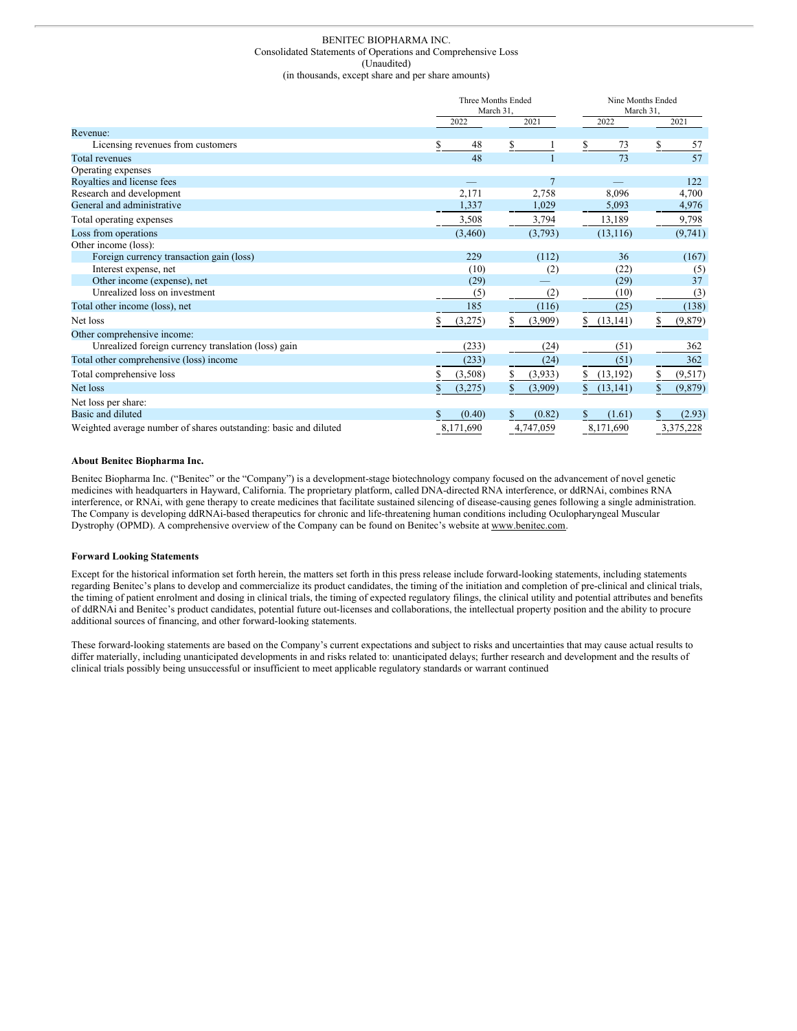#### BENITEC BIOPHARMA INC. Consolidated Statements of Operations and Comprehensive Loss (Unaudited) (in thousands, except share and per share amounts)

|                                                                  |    | Three Months Ended<br>March 31, |   |                |    | Nine Months Ended<br>March 31,<br>2021 |    |           |  |
|------------------------------------------------------------------|----|---------------------------------|---|----------------|----|----------------------------------------|----|-----------|--|
| Revenue:                                                         |    | 2022                            |   | 2021           |    | 2022                                   |    |           |  |
| Licensing revenues from customers                                | S. | 48                              | S |                | S  | 73                                     | S. | 57        |  |
| <b>Total revenues</b>                                            |    | 48                              |   |                |    | 73                                     |    | 57        |  |
| Operating expenses                                               |    |                                 |   |                |    |                                        |    |           |  |
| Royalties and license fees                                       |    |                                 |   | $\overline{7}$ |    |                                        |    | 122       |  |
| Research and development                                         |    | 2,171                           |   | 2,758          |    | 8.096                                  |    | 4,700     |  |
| General and administrative                                       |    | 1,337                           |   | 1,029          |    | 5,093                                  |    | 4,976     |  |
| Total operating expenses                                         |    | 3,508                           |   | 3,794          |    | 13,189                                 |    | 9,798     |  |
| Loss from operations                                             |    | (3,460)                         |   | (3,793)        |    | (13, 116)                              |    | (9,741)   |  |
| Other income (loss):                                             |    |                                 |   |                |    |                                        |    |           |  |
| Foreign currency transaction gain (loss)                         |    | 229                             |   | (112)          |    | 36                                     |    | (167)     |  |
| Interest expense, net                                            |    | (10)                            |   | (2)            |    | (22)                                   |    | (5)       |  |
| Other income (expense), net                                      |    | (29)                            |   |                |    | (29)                                   |    | 37        |  |
| Unrealized loss on investment                                    |    | (5)                             |   | (2)            |    | (10)                                   |    | (3)       |  |
| Total other income (loss), net                                   |    | 185                             |   | (116)          |    | (25)                                   |    | (138)     |  |
| Net loss                                                         | S  | (3,275)                         | S | (3,909)        | \$ | (13, 141)                              | \$ | (9,879)   |  |
| Other comprehensive income:                                      |    |                                 |   |                |    |                                        |    |           |  |
| Unrealized foreign currency translation (loss) gain              |    | (233)                           |   | (24)           |    | (51)                                   |    | 362       |  |
| Total other comprehensive (loss) income                          |    | (233)                           |   | (24)           |    | (51)                                   |    | 362       |  |
| Total comprehensive loss                                         |    | (3,508)                         |   | (3,933)        | S. | (13, 192)                              |    | (9,517)   |  |
| Net loss                                                         |    | (3,275)                         |   | (3,909)        | \$ | (13, 141)                              | \$ | (9,879)   |  |
| Net loss per share:                                              |    |                                 |   |                |    |                                        |    |           |  |
| Basic and diluted                                                | \$ | (0.40)                          | S | (0.82)         | \$ | (1.61)                                 | S. | (2.93)    |  |
| Weighted average number of shares outstanding: basic and diluted |    | 8,171,690                       |   | 4,747,059      |    | 8,171,690                              |    | 3,375,228 |  |

#### **About Benitec Biopharma Inc.**

Benitec Biopharma Inc. ("Benitec" or the "Company") is a development-stage biotechnology company focused on the advancement of novel genetic medicines with headquarters in Hayward, California. The proprietary platform, called DNA-directed RNA interference, or ddRNAi, combines RNA interference, or RNAi, with gene therapy to create medicines that facilitate sustained silencing of disease-causing genes following a single administration. The Company is developing ddRNAi-based therapeutics for chronic and life-threatening human conditions including Oculopharyngeal Muscular Dystrophy (OPMD). A comprehensive overview of the Company can be found on Benitec's website at www.benitec.com.

#### **Forward Looking Statements**

Except for the historical information set forth herein, the matters set forth in this press release include forward-looking statements, including statements regarding Benitec's plans to develop and commercialize its product candidates, the timing of the initiation and completion of pre-clinical and clinical trials, the timing of patient enrolment and dosing in clinical trials, the timing of expected regulatory filings, the clinical utility and potential attributes and benefits of ddRNAi and Benitec's product candidates, potential future out-licenses and collaborations, the intellectual property position and the ability to procure additional sources of financing, and other forward-looking statements.

These forward-looking statements are based on the Company's current expectations and subject to risks and uncertainties that may cause actual results to differ materially, including unanticipated developments in and risks related to: unanticipated delays; further research and development and the results of clinical trials possibly being unsuccessful or insufficient to meet applicable regulatory standards or warrant continued